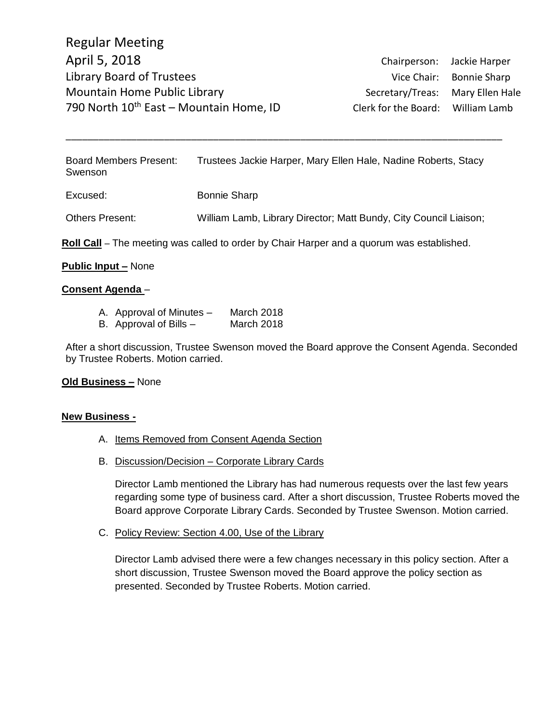Board Members Present: Trustees Jackie Harper, Mary Ellen Hale, Nadine Roberts, Stacy Swenson

\_\_\_\_\_\_\_\_\_\_\_\_\_\_\_\_\_\_\_\_\_\_\_\_\_\_\_\_\_\_\_\_\_\_\_\_\_\_\_\_\_\_\_\_\_\_\_\_\_\_\_\_\_\_\_\_\_\_\_\_\_\_\_\_\_\_\_\_\_\_\_\_\_\_\_\_\_\_\_\_

Excused: Bonnie Sharp

Others Present: William Lamb, Library Director; Matt Bundy, City Council Liaison;

**Roll Call** – The meeting was called to order by Chair Harper and a quorum was established.

### **Public Input –** None

#### **Consent Agenda** –

- A. Approval of Minutes March 2018
- B. Approval of Bills March 2018

After a short discussion, Trustee Swenson moved the Board approve the Consent Agenda. Seconded by Trustee Roberts. Motion carried.

#### **Old Business –** None

#### **New Business -**

- A. Items Removed from Consent Agenda Section
- B. Discussion/Decision Corporate Library Cards

Director Lamb mentioned the Library has had numerous requests over the last few years regarding some type of business card. After a short discussion, Trustee Roberts moved the Board approve Corporate Library Cards. Seconded by Trustee Swenson. Motion carried.

C. Policy Review: Section 4.00, Use of the Library

Director Lamb advised there were a few changes necessary in this policy section. After a short discussion, Trustee Swenson moved the Board approve the policy section as presented. Seconded by Trustee Roberts. Motion carried.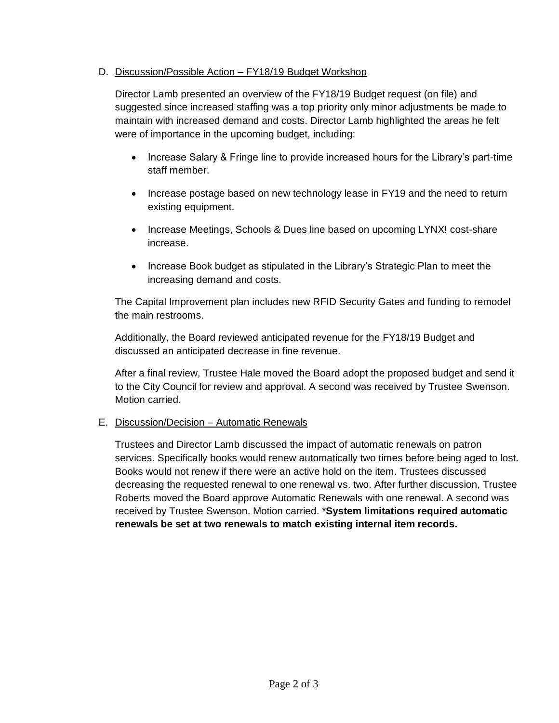## D. Discussion/Possible Action – FY18/19 Budget Workshop

Director Lamb presented an overview of the FY18/19 Budget request (on file) and suggested since increased staffing was a top priority only minor adjustments be made to maintain with increased demand and costs. Director Lamb highlighted the areas he felt were of importance in the upcoming budget, including:

- Increase Salary & Fringe line to provide increased hours for the Library's part-time staff member.
- Increase postage based on new technology lease in FY19 and the need to return existing equipment.
- Increase Meetings, Schools & Dues line based on upcoming LYNX! cost-share increase.
- Increase Book budget as stipulated in the Library's Strategic Plan to meet the increasing demand and costs.

The Capital Improvement plan includes new RFID Security Gates and funding to remodel the main restrooms.

Additionally, the Board reviewed anticipated revenue for the FY18/19 Budget and discussed an anticipated decrease in fine revenue.

After a final review, Trustee Hale moved the Board adopt the proposed budget and send it to the City Council for review and approval. A second was received by Trustee Swenson. Motion carried.

#### E. Discussion/Decision – Automatic Renewals

Trustees and Director Lamb discussed the impact of automatic renewals on patron services. Specifically books would renew automatically two times before being aged to lost. Books would not renew if there were an active hold on the item. Trustees discussed decreasing the requested renewal to one renewal vs. two. After further discussion, Trustee Roberts moved the Board approve Automatic Renewals with one renewal. A second was received by Trustee Swenson. Motion carried. \***System limitations required automatic renewals be set at two renewals to match existing internal item records.**